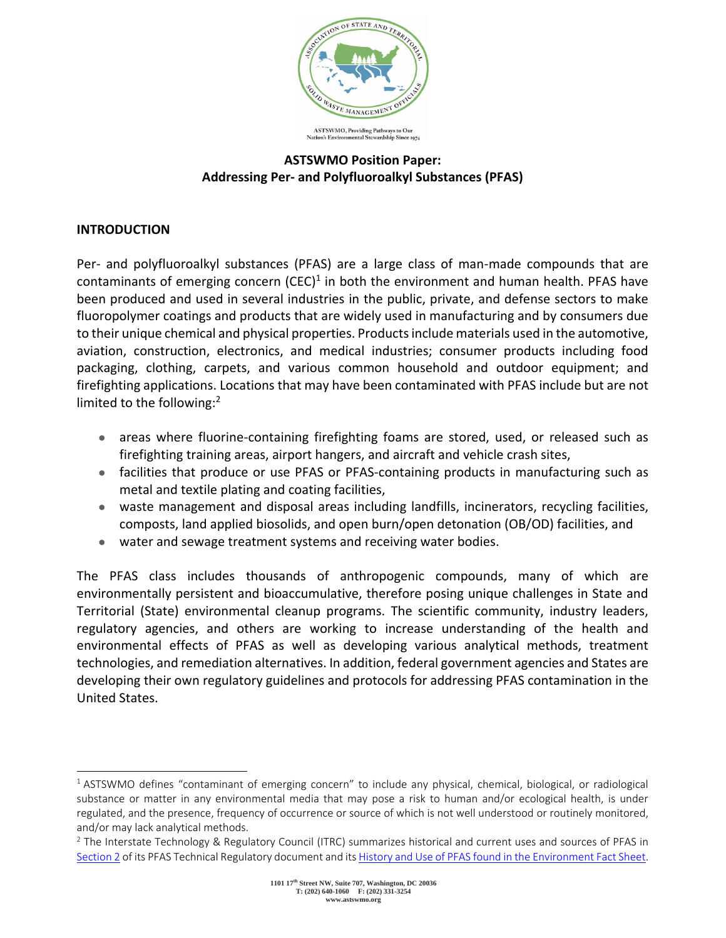

# **ASTSWMO Position Paper: Addressing Per- and Polyfluoroalkyl Substances (PFAS)**

# **INTRODUCTION**

Per- and polyfluoroalkyl substances (PFAS) are a large class of man-made compounds that are contaminants of emerging concern  $(CEC)^1$  in both the environment and human health. PFAS have been produced and used in several industries in the public, private, and defense sectors to make fluoropolymer coatings and products that are widely used in manufacturing and by consumers due to their unique chemical and physical properties. Products include materials used in the automotive, aviation, construction, electronics, and medical industries; consumer products including food packaging, clothing, carpets, and various common household and outdoor equipment; and firefighting applications. Locations that may have been contaminated with PFAS include but are not limited to the following:<sup>2</sup>

- areas where fluorine-containing firefighting foams are stored, used, or released such as firefighting training areas, airport hangers, and aircraft and vehicle crash sites,
- facilities that produce or use PFAS or PFAS-containing products in manufacturing such as metal and textile plating and coating facilities,
- waste management and disposal areas including landfills, incinerators, recycling facilities, composts, land applied biosolids, and open burn/open detonation (OB/OD) facilities, and
- water and sewage treatment systems and receiving water bodies.

The PFAS class includes thousands of anthropogenic compounds, many of which are environmentally persistent and bioaccumulative, therefore posing unique challenges in State and Territorial (State) environmental cleanup programs. The scientific community, industry leaders, regulatory agencies, and others are working to increase understanding of the health and environmental effects of PFAS as well as developing various analytical methods, treatment technologies, and remediation alternatives. In addition, federal government agencies and States are developing their own regulatory guidelines and protocols for addressing PFAS contamination in the United States.

 $1$  ASTSWMO defines "contaminant of emerging concern" to include any physical, chemical, biological, or radiological substance or matter in any environmental media that may pose a risk to human and/or ecological health, is under regulated, and the presence, frequency of occurrence or source of which is not well understood or routinely monitored, and/or may lack analytical methods.

 $2$  The Interstate Technology & Regulatory Council (ITRC) summarizes historical and current uses and sources of PFAS in [Section 2](https://pfas-1.itrcweb.org/2-pfas-chemistry-and-naming-conventions-history-and-use-of-pfas-and-sources-of-pfas-releases-to-the-environment-overview/) of its PFAS Technical Regulatory document and it[s History and Use of PFAS found in the Environment Fact Sheet.](https://pfas-1.itrcweb.org/wp-content/uploads/2020/10/history_and_use_508_2020Aug_Final.pdf)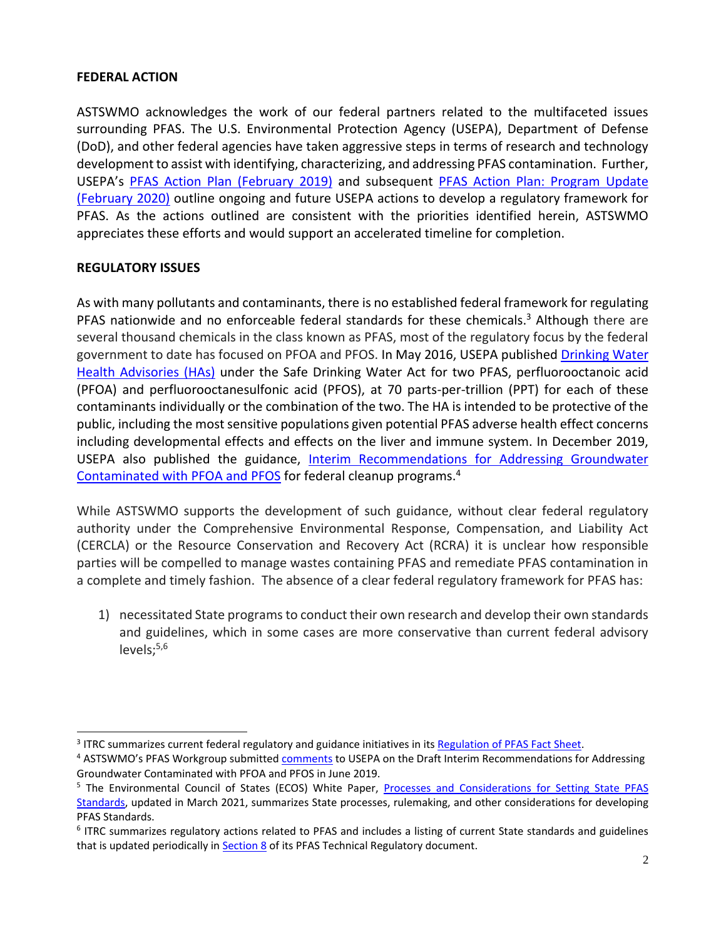### **FEDERAL ACTION**

ASTSWMO acknowledges the work of our federal partners related to the multifaceted issues surrounding PFAS. The U.S. Environmental Protection Agency (USEPA), Department of Defense (DoD), and other federal agencies have taken aggressive steps in terms of research and technology development to assist with identifying, characterizing, and addressing PFAS contamination. Further, USEPA's [PFAS Action Plan \(February 2019\)](https://www.epa.gov/sites/production/files/2019-02/documents/pfas_action_plan_021319_508compliant_1.pdf) and subsequent PFAS Action Plan: Program Update [\(February 2020\)](https://www.epa.gov/sites/production/files/2020-01/documents/pfas_action_plan_feb2020.pdf) outline ongoing and future USEPA actions to develop a regulatory framework for PFAS. As the actions outlined are consistent with the priorities identified herein, ASTSWMO appreciates these efforts and would support an accelerated timeline for completion.

### **REGULATORY ISSUES**

As with many pollutants and contaminants, there is no established federal framework for regulating PFAS nationwide and no enforceable federal standards for these chemicals.<sup>3</sup> Although there are several thousand chemicals in the class known as PFAS, most of the regulatory focus by the federal government to date has focused on PFOA and PFOS. In May 2016, USEPA published [Drinking Water](https://www.epa.gov/ground-water-and-drinking-water/drinking-water-health-advisories-pfoa-and-pfos)  [Health Advisories \(HAs\)](https://www.epa.gov/ground-water-and-drinking-water/drinking-water-health-advisories-pfoa-and-pfos) under the Safe Drinking Water Act for two PFAS, perfluorooctanoic acid (PFOA) and perfluorooctanesulfonic acid (PFOS), at 70 parts-per-trillion (PPT) for each of these contaminants individually or the combination of the two. The HA is intended to be protective of the public, including the most sensitive populations given potential PFAS adverse health effect concerns including developmental effects and effects on the liver and immune system. In December 2019, USEPA also published the guidance, [Interim Recommendations for Addressing Groundwater](https://www.epa.gov/pfas/interim-recommendations-addressing-groundwater-contaminated-pfoa-and-pfos)  [Contaminated with PFOA and PFOS](https://www.epa.gov/pfas/interim-recommendations-addressing-groundwater-contaminated-pfoa-and-pfos) for federal cleanup programs.<sup>4</sup>

While ASTSWMO supports the development of such guidance, without clear federal regulatory authority under the Comprehensive Environmental Response, Compensation, and Liability Act (CERCLA) or the Resource Conservation and Recovery Act (RCRA) it is unclear how responsible parties will be compelled to manage wastes containing PFAS and remediate PFAS contamination in a complete and timely fashion. The absence of a clear federal regulatory framework for PFAS has:

1) necessitated State programs to conduct their own research and develop their own standards and guidelines, which in some cases are more conservative than current federal advisory levels; $5,6$ 

<sup>&</sup>lt;sup>3</sup> ITRC summarizes current federal regulatory and guidance initiatives in its Regulation of PFAS Fact Sheet.

<sup>4</sup> ASTSWMO's PFAS Workgroup submitted [comments](http://astswmo.org/files/Comments/2019-06-10-ASTSWMO-Letter-PFASGWRec-EPA.pdf) to USEPA on the Draft Interim Recommendations for Addressing Groundwater Contaminated with PFOA and PFOS in June 2019.

<sup>&</sup>lt;sup>5</sup> The Environmental Council of States (ECOS) White Paper, Processes and Considerations for Setting State PFAS [Standards,](https://www.ecos.org/documents/ecos-white-paper-processes-and-considerations-for-setting-state-pfas-standards-2021-update/) updated in March 2021, summarizes State processes, rulemaking, and other considerations for developing PFAS Standards.

<sup>6</sup> ITRC summarizes regulatory actions related to PFAS and includes a listing of current State standards and guidelines that is updated periodically i[n Section 8](https://pfas-1.itrcweb.org/8-basis-of-regulations/) of its PFAS Technical Regulatory document.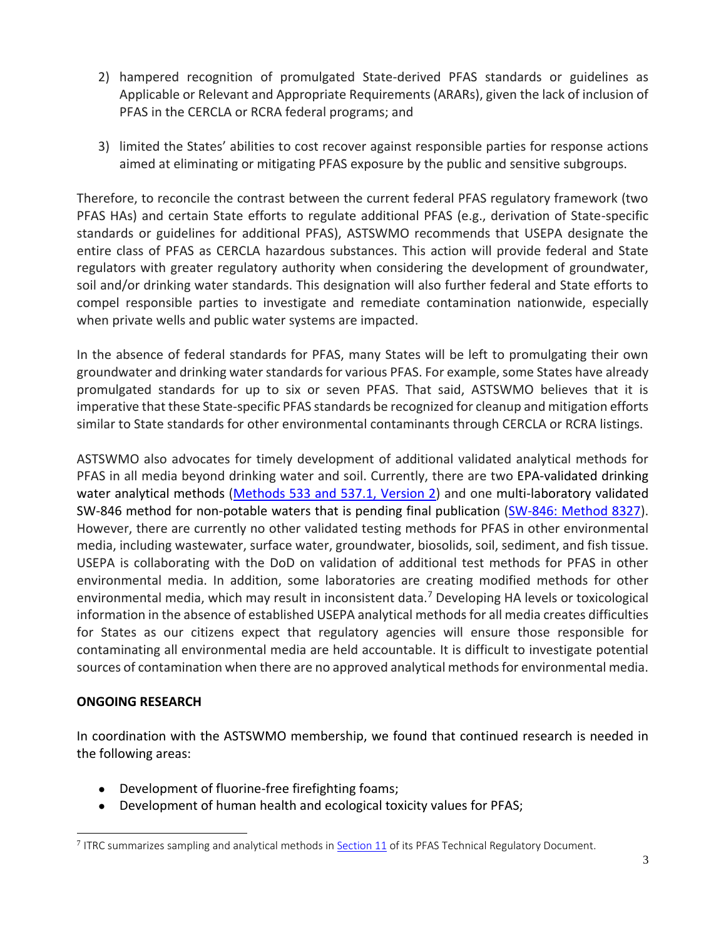- 2) hampered recognition of promulgated State-derived PFAS standards or guidelines as Applicable or Relevant and Appropriate Requirements (ARARs), given the lack of inclusion of PFAS in the CERCLA or RCRA federal programs; and
- 3) limited the States' abilities to cost recover against responsible parties for response actions aimed at eliminating or mitigating PFAS exposure by the public and sensitive subgroups.

Therefore, to reconcile the contrast between the current federal PFAS regulatory framework (two PFAS HAs) and certain State efforts to regulate additional PFAS (e.g., derivation of State-specific standards or guidelines for additional PFAS), ASTSWMO recommends that USEPA designate the entire class of PFAS as CERCLA hazardous substances. This action will provide federal and State regulators with greater regulatory authority when considering the development of groundwater, soil and/or drinking water standards. This designation will also further federal and State efforts to compel responsible parties to investigate and remediate contamination nationwide, especially when private wells and public water systems are impacted.

In the absence of federal standards for PFAS, many States will be left to promulgating their own groundwater and drinking water standards for various PFAS. For example, some States have already promulgated standards for up to six or seven PFAS. That said, ASTSWMO believes that it is imperative that these State-specific PFAS standards be recognized for cleanup and mitigation efforts similar to State standards for other environmental contaminants through CERCLA or RCRA listings.

ASTSWMO also advocates for timely development of additional validated analytical methods for PFAS in all media beyond drinking water and soil. Currently, there are two EPA-validated drinking water analytical methods [\(Methods 533 and 537.1, Version 2\)](https://www.epa.gov/pfas/epa-pfas-drinking-water-laboratory-methods) and one multi-laboratory validated SW-846 method for non-potable waters that is pending final publication [\(SW-846: Method 8327\)](https://www.epa.gov/hw-sw846/validated-test-method-8327-and-polyfluoroalkyl-substances-pfas-using-external-standard). However, there are currently no other validated testing methods for PFAS in other environmental media, including wastewater, surface water, groundwater, biosolids, soil, sediment, and fish tissue. USEPA is collaborating with the DoD on validation of additional test methods for PFAS in other environmental media. In addition, some laboratories are creating modified methods for other environmental media, which may result in inconsistent data.<sup>7</sup> Developing HA levels or toxicological information in the absence of established USEPA analytical methods for all media creates difficulties for States as our citizens expect that regulatory agencies will ensure those responsible for contaminating all environmental media are held accountable. It is difficult to investigate potential sources of contamination when there are no approved analytical methods for environmental media.

#### **ONGOING RESEARCH**

In coordination with the ASTSWMO membership, we found that continued research is needed in the following areas:

- Development of fluorine-free firefighting foams;
- Development of human health and ecological toxicity values for PFAS;

<sup>&</sup>lt;sup>7</sup> ITRC summarizes sampling and analytical methods in **Section 11** of its PFAS Technical Regulatory Document.